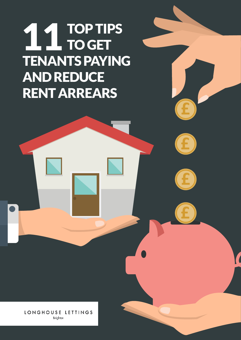# TOP TIPS TO GET TENANTS PAYING **AND REDUCE** RENT ARREARS 11

LONGHOUSE LETTINGS Brighton

01273 569 073 | alan@longhouselettings.co.uk | www.longhouselettings.co.uk

**£**

**£**

**£**

**£**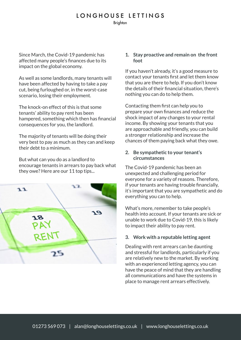## LONGHOUSE LETTINGS

**Brighton** 

Since March, the Covid-19 pandemic has affected many people's finances due to its impact on the global economy.

As well as some landlords, many tenants will have been affected by having to take a pay cut, being furloughed or, in the worst-case scenario, losing their employment.

The knock-on effect of this is that some tenants' ability to pay rent has been hampered, something which then has financial consequences for you, the landlord.

The majority of tenants will be doing their very best to pay as much as they can and keep their debt to a minimum.

But what can you do as a landlord to encourage tenants in arrears to pay back what they owe? Here are our 11 top tips...



#### **1. Stay proactive and remain on the front foot**

If you haven't already, it's a good measure to contact your tenants first and let them know that you are there to help. If you don't know the details of their financial situation, there's nothing you can do to help them.

Contacting them first can help you to prepare your own finances and reduce the shock impact of any changes to your rental income. By showing your tenants that you are approachable and friendly, you can build a stronger relationship and increase the chances of them paying back what they owe.

### **2. Be sympathetic to your tenant's circumstances**

The Covid-19 pandemic has been an unexpected and challenging period for everyone for a variety of reasons. Therefore, if your tenants are having trouble financially, it's important that you are sympathetic and do everything you can to help.

What's more, remember to take people's health into account. If your tenants are sick or unable to work due to Covid-19, this is likely to impact their ability to pay rent.

## **3. Work with a reputable letting agent**

Dealing with rent arrears can be daunting and stressful for landlords, particularly if you are relatively new to the market. By working with an experienced letting agency, you can have the peace of mind that they are handling all communications and have the systems in place to manage rent arrears effectively.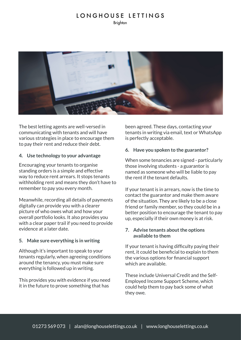# LONGHOUSE LETTINGS

**Brighton** 



The best letting agents are well-versed in communicating with tenants and will have various strategies in place to encourage them to pay their rent and reduce their debt.

#### **4. Use technology to your advantage**

Encouraging your tenants to organise standing orders is a simple and effective way to reduce rent arrears. It stops tenants withholding rent and means they don't have to remember to pay you every month.

Meanwhile, recording all details of payments digitally can provide you with a clearer picture of who owes what and how your overall portfolio looks. It also provides you with a clear paper trail if you need to provide evidence at a later date.

#### **5. Make sure everything is in writing**

Although it's important to speak to your tenants regularly, when agreeing conditions around the tenancy, you must make sure everything is followed up in writing.

This provides you with evidence if you need it in the future to prove something that has

been agreed. These days, contacting your tenants in writing via email, text or WhatsApp is perfectly acceptable.

#### **6. Have you spoken to the guarantor?**

When some tenancies are signed - particularly those involving students - a guarantor is named as someone who will be liable to pay the rent if the tenant defaults.

If your tenant is in arrears, now is the time to contact the guarantor and make them aware of the situation. They are likely to be a close friend or family member, so they could be in a better position to encourage the tenant to pay up, especially if their own money is at risk.

#### **7. Advise tenants about the options available to them**

If your tenant is having difficulty paying their rent, it could be beneficial to explain to them the various options for financial support which are available.

These include Universal Credit and the Self-Employed Income Support Scheme, which could help them to pay back some of what they owe.